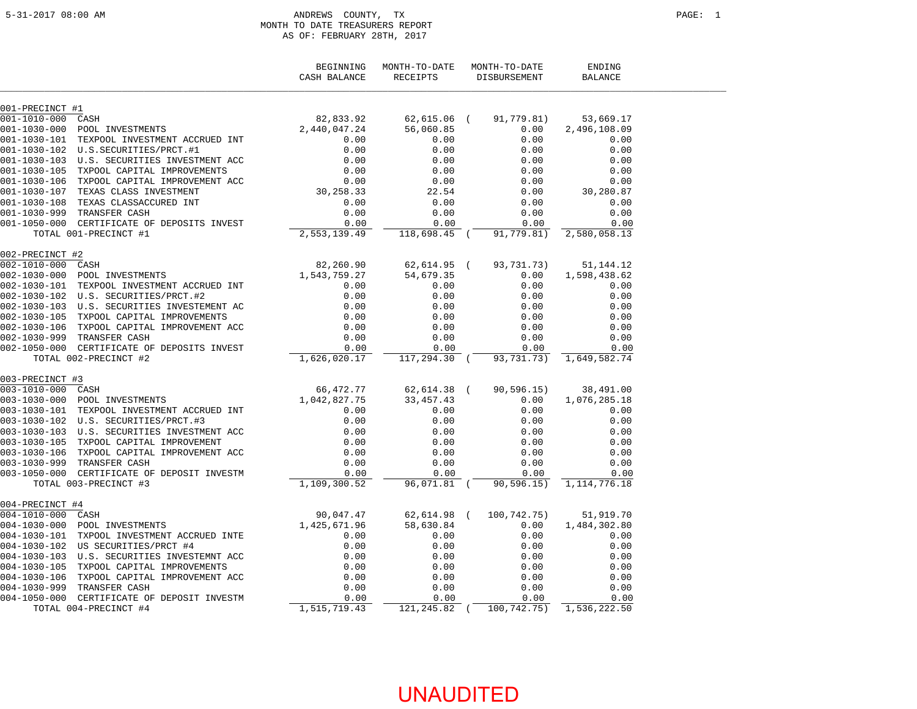#### 5-31-2017 08:00 AM ANDREWS COUNTY, TX PAGE: 1 MONTH TO DATE TREASURERS REPORT AS OF: FEBRUARY 28TH, 2017

|                    |                                             | BEGINNING<br>CASH BALANCE | MONTH-TO-DATE<br><b>RECEIPTS</b> | MONTH-TO-DATE<br>DISBURSEMENT | ENDING<br><b>BALANCE</b> |  |
|--------------------|---------------------------------------------|---------------------------|----------------------------------|-------------------------------|--------------------------|--|
| 001-PRECINCT #1    |                                             |                           |                                  |                               |                          |  |
| 001-1010-000       | CASH                                        | 82,833.92                 | 62,615.06 (                      | 91,779.81)                    | 53,669.17                |  |
| $001 - 1030 - 000$ | POOL INVESTMENTS                            | 2,440,047.24              | 56,060.85                        | 0.00                          | 2,496,108.09             |  |
| 001-1030-101       | TEXPOOL INVESTMENT ACCRUED INT              | 0.00                      | 0.00                             | 0.00                          | 0.00                     |  |
| 001-1030-102       | U.S.SECURITIES/PRCT.#1                      | 0.00                      | 0.00                             | 0.00                          | 0.00                     |  |
|                    | 001-1030-103 U.S. SECURITIES INVESTMENT ACC | 0.00                      | 0.00                             | 0.00                          | 0.00                     |  |
| 001-1030-105       | TXPOOL CAPITAL IMPROVEMENTS                 | 0.00                      | 0.00                             | 0.00                          | 0.00                     |  |
| $001 - 1030 - 106$ | TXPOOL CAPITAL IMPROVEMENT ACC              | 0.00                      | 0.00                             | 0.00                          | 0.00                     |  |
| 001-1030-107       | TEXAS CLASS INVESTMENT                      | 30,258.33                 | 22.54                            | 0.00                          | 30,280.87                |  |
| $001 - 1030 - 108$ | TEXAS CLASSACCURED INT                      | 0.00                      | 0.00                             | 0.00                          | 0.00                     |  |
| 001-1030-999       | TRANSFER CASH                               | 0.00                      | 0.00                             | 0.00                          | 0.00                     |  |
|                    | 001-1050-000 CERTIFICATE OF DEPOSITS INVEST | 0.00                      | 0.00                             | 0.00                          | 0.00                     |  |
|                    | TOTAL 001-PRECINCT #1                       | 2,553,139.49              | 118,698.45 (                     | 91,779.81)                    | 2,580,058.13             |  |
| 002-PRECINCT #2    |                                             |                           |                                  |                               |                          |  |
| $002 - 1010 - 000$ | CASH                                        | 82,260.90                 | 62,614.95 (                      | 93,731.73)                    | 51,144.12                |  |
| $002 - 1030 - 000$ | POOL INVESTMENTS                            | 1,543,759.27              | 54,679.35                        | 0.00                          | 1,598,438.62             |  |
| 002-1030-101       | TEXPOOL INVESTMENT ACCRUED INT              | 0.00                      | 0.00                             | 0.00                          | 0.00                     |  |
| 002-1030-102       | U.S. SECURITIES/PRCT.#2                     | 0.00                      | 0.00                             | 0.00                          | 0.00                     |  |
| 002-1030-103       | U.S. SECURITIES INVESTEMENT AC              | 0.00                      | 0.00                             | 0.00                          | 0.00                     |  |
| $002 - 1030 - 105$ | TXPOOL CAPITAL IMPROVEMENTS                 | 0.00                      | 0.00                             | 0.00                          | 0.00                     |  |
| 002-1030-106       | TXPOOL CAPITAL IMPROVEMENT ACC              | 0.00                      | 0.00                             | 0.00                          | 0.00                     |  |
| 002-1030-999       | TRANSFER CASH                               | 0.00                      | 0.00                             | 0.00                          | 0.00                     |  |
|                    | 002-1050-000 CERTIFICATE OF DEPOSITS INVEST | 0.00                      | 0.00                             | 0.00                          | 0.00                     |  |
|                    | TOTAL 002-PRECINCT #2                       | 1,626,020.17              | 117,294.30 (                     | 93,731.73)                    | 1,649,582.74             |  |
| 003-PRECINCT #3    |                                             |                           |                                  |                               |                          |  |
| $003 - 1010 - 000$ | CASH                                        | 66,472.77                 | 62,614.38 (                      | 90, 596.15)                   | 38,491.00                |  |
| $003 - 1030 - 000$ | POOL INVESTMENTS                            | 1,042,827.75              | 33, 457. 43                      | 0.00                          | 1,076,285.18             |  |
| 003-1030-101       | TEXPOOL INVESTMENT ACCRUED INT              | 0.00                      | 0.00                             | 0.00                          | 0.00                     |  |
|                    |                                             | 0.00                      | 0.00                             | 0.00                          | 0.00                     |  |
|                    | 003-1030-103 U.S. SECURITIES INVESTMENT ACC | 0.00                      | 0.00                             | 0.00                          | 0.00                     |  |
| $003 - 1030 - 105$ | TXPOOL CAPITAL IMPROVEMENT                  | 0.00                      | 0.00                             | 0.00                          | 0.00                     |  |
| $003 - 1030 - 106$ | TXPOOL CAPITAL IMPROVEMENT ACC              | 0.00                      | 0.00                             | 0.00                          | 0.00                     |  |
| 003-1030-999       | TRANSFER CASH                               | 0.00                      | 0.00                             | 0.00                          | 0.00                     |  |
| 003-1050-000       | CERTIFICATE OF DEPOSIT INVESTM              | 0.00                      | 0.00                             | 0.00                          | 0.00                     |  |
|                    | TOTAL 003-PRECINCT #3                       | 1,109,300.52              | 96,071.81 (                      | 90, 596.15)                   | 1, 114, 776. 18          |  |
| 004-PRECINCT #4    |                                             |                           |                                  |                               |                          |  |
| $004 - 1010 - 000$ | CASH                                        | 90,047.47                 | 62,614.98                        | 100,742.75)                   | 51,919.70                |  |
| $004 - 1030 - 000$ | POOL INVESTMENTS                            | 1,425,671.96              | 58,630.84                        | 0.00                          | 1,484,302.80             |  |
| $004 - 1030 - 101$ | TXPOOL INVESTMENT ACCRUED INTE              | 0.00                      | 0.00                             | 0.00                          | 0.00                     |  |
|                    | 004-1030-102 US SECURITIES/PRCT #4          | 0.00                      | 0.00                             | 0.00                          | 0.00                     |  |
| $004 - 1030 - 103$ | U.S. SECURITIES INVESTEMNT ACC              | 0.00                      | 0.00                             | 0.00                          | 0.00                     |  |
| $004 - 1030 - 105$ | TXPOOL CAPITAL IMPROVEMENTS                 | 0.00                      | 0.00                             | 0.00                          | 0.00                     |  |
| $004 - 1030 - 106$ | TXPOOL CAPITAL IMPROVEMENT ACC              | 0.00                      | 0.00                             | 0.00                          | 0.00                     |  |
| $004 - 1030 - 999$ | TRANSFER CASH                               | 0.00                      | 0.00                             | 0.00                          | 0.00                     |  |
|                    | 004-1050-000 CERTIFICATE OF DEPOSIT INVESTM | 0.00                      | 0.00                             | 0.00                          | 0.00                     |  |
|                    | TOTAL 004-PRECINCT #4                       | 1,515,719.43              | 121,245.82 (                     | 100,742.75)                   | 1,536,222.50             |  |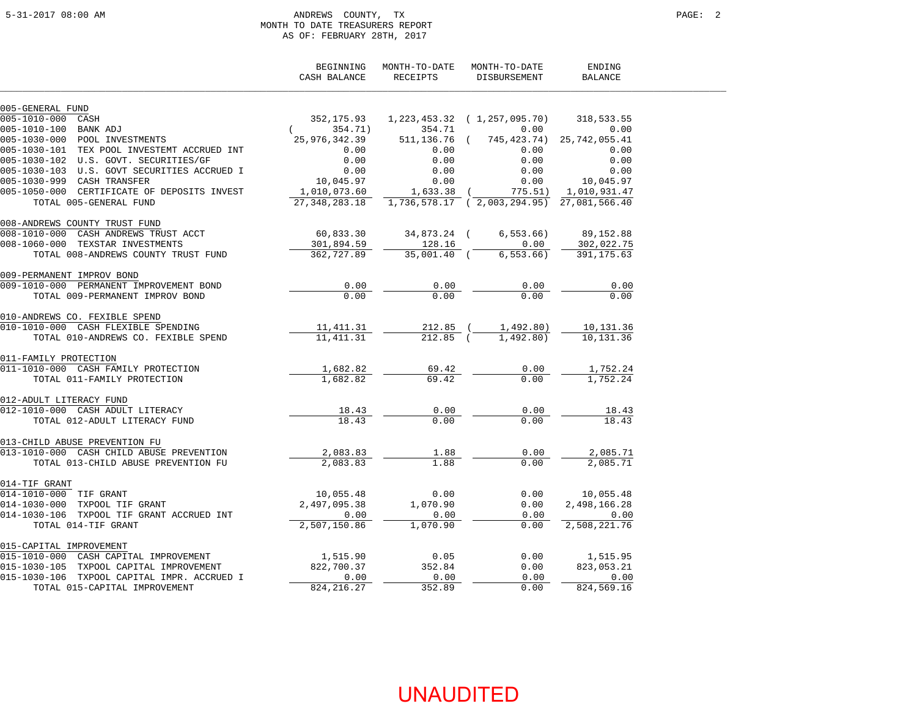#### 5-31-2017 08:00 AM ANDREWS COUNTY, TX PAGE: 2 MONTH TO DATE TREASURERS REPORT AS OF: FEBRUARY 28TH, 2017

|                                             | BEGINNING<br>CASH BALANCE | MONTH-TO-DATE<br>RECEIPTS | MONTH-TO-DATE<br>DISBURSEMENT             | ENDING<br><b>BALANCE</b> |
|---------------------------------------------|---------------------------|---------------------------|-------------------------------------------|--------------------------|
| 005-GENERAL FUND                            |                           |                           |                                           |                          |
| 005-1010-000 CASH                           | 352,175.93                |                           | $1, 223, 453, 32 \quad (1, 257, 095, 70)$ | 318,533.55               |
| 005-1010-100 BANK ADJ                       | 354.71)                   | 354.71                    | 0.00                                      | 0.00                     |
| 005-1030-000 POOL INVESTMENTS               | 25,976,342.39             | 511,136.76                | 745,423.74)                               | 25,742,055.41            |
| 005-1030-101 TEX POOL INVESTEMT ACCRUED INT | 0.00                      | 0.00                      | 0.00                                      | 0.00                     |
| 005-1030-102 U.S. GOVT. SECURITIES/GF       | 0.00                      | 0.00                      | 0.00                                      | 0.00                     |
| 005-1030-103 U.S. GOVT SECURITIES ACCRUED I | 0.00                      | 0.00                      | 0.00                                      | 0.00                     |
| 005-1030-999 CASH TRANSFER                  | 10,045.97                 | 0.00                      | 0.00                                      | 10,045.97                |
| 005-1050-000 CERTIFICATE OF DEPOSITS INVEST | 1,010,073.60              | $1,633.38$ (              | 775.51)                                   | 1,010,931.47             |
| TOTAL 005-GENERAL FUND                      | 27, 348, 283. 18          |                           | 1,736,578.17 (2,003,294.95) 27,081,566.40 |                          |
| 008-ANDREWS COUNTY TRUST FUND               |                           |                           |                                           |                          |
| 008-1010-000 CASH ANDREWS TRUST ACCT        | 60,833.30                 | 34,873.24 (               | 6, 553.66                                 | 89, 152.88               |
| 008-1060-000 TEXSTAR INVESTMENTS            | 301,894.59                | 128.16                    | 0.00                                      | 302,022.75               |
| TOTAL 008-ANDREWS COUNTY TRUST FUND         | 362,727.89                | 35,001.40 (               | 6,553.66                                  | 391, 175.63              |
| 009-PERMANENT IMPROV BOND                   |                           |                           |                                           |                          |
| 009-1010-000 PERMANENT IMPROVEMENT BOND     | 0.00                      | 0.00                      | 0.00                                      | 0.00                     |
| TOTAL 009-PERMANENT IMPROV BOND             | 0.00                      | 0.00                      | 0.00                                      | 0.00                     |
| 010-ANDREWS CO. FEXIBLE SPEND               |                           |                           |                                           |                          |
| 010-1010-000 CASH FLEXIBLE SPENDING         | 11,411.31                 | 212.85 (                  | 1,492.80)                                 | 10,131.36                |
| TOTAL 010-ANDREWS CO. FEXIBLE SPEND         | 11, 411.31                | $212.85$ (                | 1,492.80)                                 | 10,131.36                |
| 011-FAMILY PROTECTION                       |                           |                           |                                           |                          |
| 011-1010-000 CASH FAMILY PROTECTION         | 1,682.82                  | 69.42                     | 0.00                                      | 1,752.24                 |
| TOTAL 011-FAMILY PROTECTION                 | 1,682.82                  | 69.42                     | 0.00                                      | 1,752.24                 |
| 012-ADULT LITERACY FUND                     |                           |                           |                                           |                          |
| 012-1010-000 CASH ADULT LITERACY            | 18.43                     | 0.00                      | 0.00                                      | 18.43                    |
| TOTAL 012-ADULT LITERACY FUND               | 18.43                     | 0.00                      | 0.00                                      | 18.43                    |
| 013-CHILD ABUSE PREVENTION FU               |                           |                           |                                           |                          |
| 013-1010-000 CASH CHILD ABUSE PREVENTION    | 2,083.83                  | 1.88                      | 0.00                                      | 2,085.71                 |
| TOTAL 013-CHILD ABUSE PREVENTION FU         | 2,083.83                  | 1.88                      | 0.00                                      | 2,085.71                 |
| 014-TIF GRANT                               |                           |                           |                                           |                          |
| 014-1010-000 TIF GRANT                      | 10,055.48                 | 0.00                      | 0.00                                      | 10,055.48                |
| 014-1030-000 TXPOOL TIF GRANT               | 2,497,095.38              | 1,070.90                  | 0.00                                      | 2,498,166.28             |
| 014-1030-106 TXPOOL TIF GRANT ACCRUED INT   | 0.00                      | 0.00                      | 0.00                                      | 0.00                     |
| TOTAL 014-TIF GRANT                         | 2,507,150.86              | 1,070.90                  | 0.00                                      | 2,508,221.76             |
| 015-CAPITAL IMPROVEMENT                     |                           |                           |                                           |                          |
| 015-1010-000 CASH CAPITAL IMPROVEMENT       | 1,515.90                  | 0.05                      | 0.00                                      | 1,515.95                 |
| 015-1030-105 TXPOOL CAPITAL IMPROVEMENT     | 822,700.37                | 352.84                    | 0.00                                      | 823,053.21               |
| 015-1030-106 TXPOOL CAPITAL IMPR. ACCRUED I | 0.00                      | 0.00                      | 0.00                                      | 0.00                     |
| TOTAL 015-CAPITAL IMPROVEMENT               | 824, 216.27               | 352.89                    | 0.00                                      | 824,569.16               |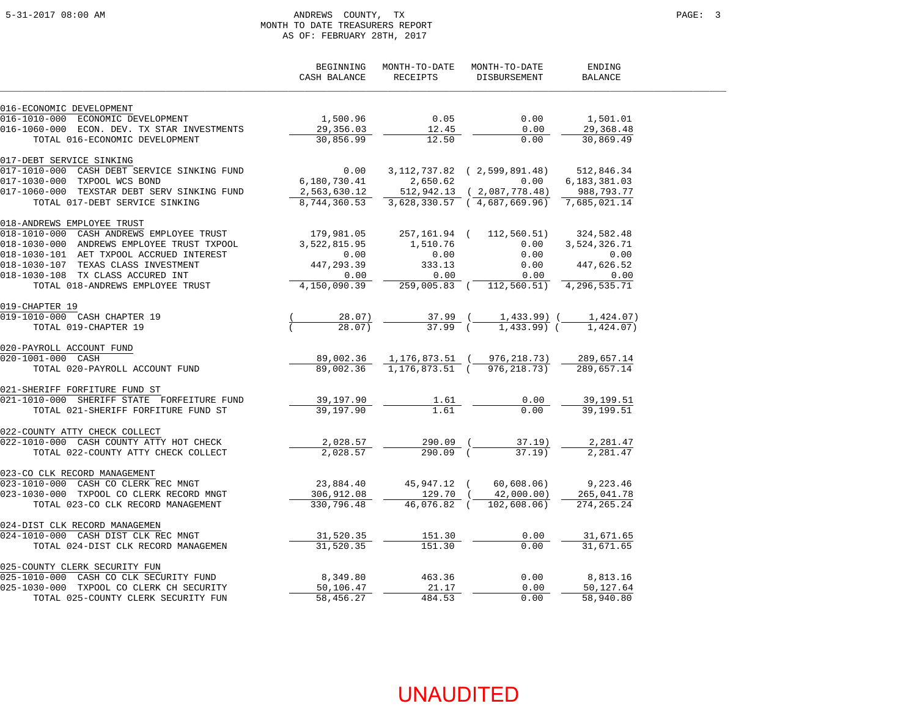#### 5-31-2017 08:00 AM ANDREWS COUNTY, TX PAGE: 3 MONTH TO DATE TREASURERS REPORT AS OF: FEBRUARY 28TH, 2017

|                                                                                                                                                            | BEGINNING<br>CASH BALANCE   | MONTH-TO-DATE<br>RECEIPTS | MONTH-TO-DATE<br>DISBURSEMENT                         | ENDING<br><b>BALANCE</b> |  |
|------------------------------------------------------------------------------------------------------------------------------------------------------------|-----------------------------|---------------------------|-------------------------------------------------------|--------------------------|--|
| 016-ECONOMIC DEVELOPMENT                                                                                                                                   |                             |                           |                                                       |                          |  |
| 016-ECONOMIC DEVELOPMENT<br>016-1010-000 ECONOMIC DEVELOPMENT<br>2011 ---- PELL TRE TRE TNVESTMENTS                                                        | 1,500.96                    | 0.05                      | 0.00                                                  | 1,501.01                 |  |
| 016-1060-000 ECON. DEV. TX STAR INVESTMENTS                                                                                                                | 29,356.03                   | 12.45                     | 0.00                                                  | 29,368.48                |  |
| TOTAL 016-ECONOMIC DEVELOPMENT                                                                                                                             | 30,856.99                   | 12.50                     | 0.00                                                  | 30,869.49                |  |
| 017-DEBT SERVICE SINKING                                                                                                                                   |                             |                           |                                                       |                          |  |
| 017-1010-000 CASH DEBT SERVICE SINKING FUND                                                                                                                |                             |                           | $0.00$ $3,112,737.82$ ( $2,599.891.48$ ) $512,846.34$ |                          |  |
| 017-1030-000 TXPOOL WCS BOND                                                                                                                               | 6,180,730.41                | 2,650.62                  | 0.00                                                  | 6,183,381.03             |  |
| 017-1060-000 TEXSTAR DEBT SERV SINKING FUND                                                                                                                | 2,563,630.12                |                           | 512,942.13 (2,087,778.48)                             | 988,793.77               |  |
| TOTAL 017-DEBT SERVICE SINKING                                                                                                                             | $\frac{2}{6}$ , 744, 360.53 |                           | 3,628,330.57 (4,687,669.96)                           | 7,685,021.14             |  |
| 018-ANDREWS EMPLOYEE TRUST                                                                                                                                 |                             |                           |                                                       |                          |  |
| 018-1010-000 CASH ANDREWS EMPLOYEE TRUST                                                                                                                   | 179,981.05                  |                           | 257, 161.94 ( 112, 560.51) 324, 582.48                |                          |  |
| 018-1030-000 ANDREWS EMPLOYEE TRUST TXPOOL                                                                                                                 | 3,522,815.95                | 1,510.76                  | 0.00                                                  | 3,524,326.71             |  |
| 018-1030-101 AET TXPOOL ACCRUED INTEREST                                                                                                                   | 0.00                        | 0.00                      | 0.00                                                  | 0.00                     |  |
| 018-1030-107 TEXAS CLASS INVESTMENT                                                                                                                        | 447,293.39                  | 333.13                    | 0.00                                                  | 447,626.52               |  |
| 018-1030-108 TX CLASS ACCURED INT                                                                                                                          | 0.00                        | 0.00                      | 0.00                                                  | 0.00                     |  |
| TOTAL 018-ANDREWS EMPLOYEE TRUST                                                                                                                           | 4,150,090.39                |                           | 259,005.83 ( 112,560.51) 4,296,535.71                 |                          |  |
| 019-CHAPTER 19                                                                                                                                             |                             |                           |                                                       |                          |  |
| 019-1010-000 CASH CHAPTER 19                                                                                                                               | 28.07)                      | 37.99 (                   | 1,433.99) (                                           | 1,424.07)                |  |
| TOTAL 019-CHAPTER 19                                                                                                                                       | 28.07)                      | $37.99$ (                 | $1,433.99$ (                                          | 1,424,07                 |  |
| 020-PAYROLL ACCOUNT FUND                                                                                                                                   |                             |                           |                                                       |                          |  |
| 020-1001-000 CASH                                                                                                                                          | 89,002.36                   |                           | 1, 176, 873.51 (976, 218.73)                          | 289,657.14               |  |
| TOTAL 020-PAYROLL ACCOUNT FUND                                                                                                                             | 89,002.36                   |                           | 1, 176, 873.51 (976, 218.73)                          | 289,657.14               |  |
| 021-SHERIFF FORFITURE FUND ST                                                                                                                              |                             |                           |                                                       |                          |  |
| 021-1010-000 SHERIFF STATE FORFEITURE FUND                                                                                                                 | 39,197.90                   | 1.61                      | 0.00                                                  | 39,199.51                |  |
| TOTAL 021-SHERIFF FORFITURE FUND ST                                                                                                                        | 39,197.90                   | 1.61                      | 0.00                                                  | 39,199.51                |  |
| 022-COUNTY ATTY CHECK COLLECT                                                                                                                              |                             |                           |                                                       |                          |  |
| 022-1010-000 CASH COUNTY ATTY HOT CHECK                                                                                                                    | 2,028.57                    | 290.09 (                  | 37.19)                                                | 2,281.47                 |  |
| TOTAL 022-COUNTY ATTY CHECK COLLECT                                                                                                                        | 2,028.57                    | 290.09 (                  | $37.19$ )                                             | 2,281.47                 |  |
| 023-CO CLK RECORD MANAGEMENT<br>023-00 CLN RECORD PRIVAGEMENT                                                                                              |                             |                           |                                                       |                          |  |
|                                                                                                                                                            |                             | 23,884.40 45,947.12 (     |                                                       | 60,608.06) 9,223.46      |  |
| 023-1030-000 TXPOOL CO CLERK RECORD MNGT                                                                                                                   | 306,912.08                  | 129.70 (                  | 42,000.00)                                            | 265,041.78               |  |
| TOTAL 023-CO CLK RECORD MANAGEMENT                                                                                                                         | 330,796.48                  | 46,076.82 (               | 102,608.06)                                           | 274, 265. 24             |  |
| 024-DIST CLK RECORD MANAGEMEN                                                                                                                              |                             |                           |                                                       |                          |  |
| 024-1010-000 CASH DIST CLK REC MNGT                                                                                                                        | 31,520.35                   | 151.30                    | 0.00                                                  | 31,671.65                |  |
| TOTAL 024-DIST CLK RECORD MANAGEMEN                                                                                                                        | 31,520.35                   | 151.30                    | 0.00                                                  | 31,671.65                |  |
| 025-COUNTY CLERK SECURITY FUN<br>025-1010-000 CASH CO CLK SECURITY FUND<br>025-1030-000 TXPOOL CO CLERK CH SECURITY<br>TOTAL 025-COUNTY CLERK SECURITY FUN |                             |                           |                                                       |                          |  |
|                                                                                                                                                            | 8,349.80                    | 463.36                    | 0.00                                                  | 8,813.16                 |  |
|                                                                                                                                                            | 50,106.47                   | 21.17                     | 0.00                                                  | 50,127.64                |  |
|                                                                                                                                                            | 58,456.27                   | 484.53                    | 0.00                                                  | 58,940.80                |  |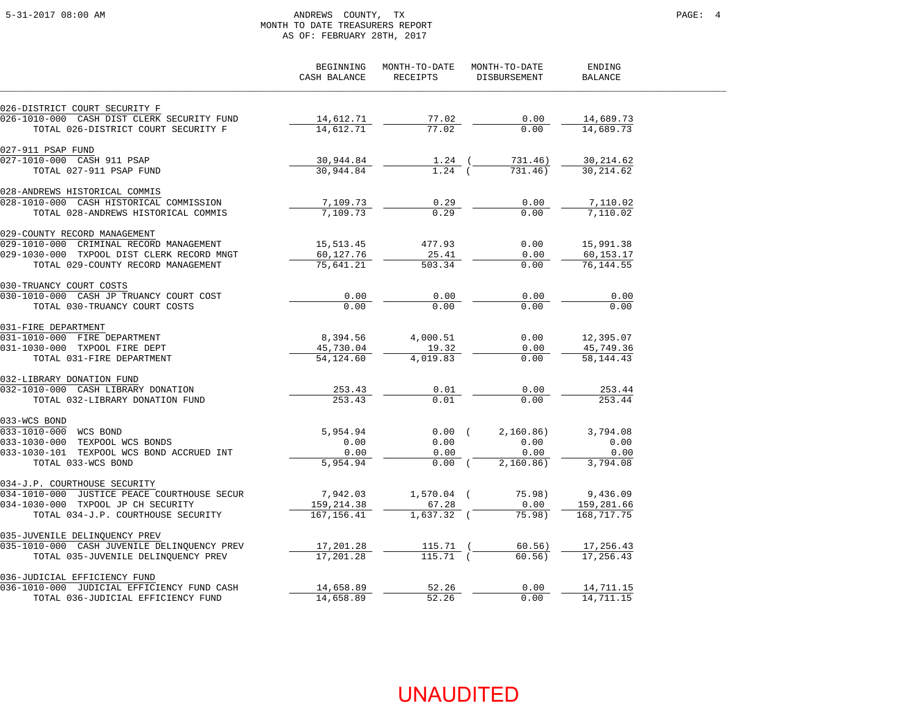### 5-31-2017 08:00 AM ANDREWS COUNTY, TX PAGE: 4 MONTH TO DATE TREASURERS REPORT AS OF: FEBRUARY 28TH, 2017

|                                                                             | BEGINNING<br>CASH BALANCE | MONTH-TO-DATE<br>RECEIPTS | MONTH-TO-DATE<br>DISBURSEMENT | ENDING<br><b>BALANCE</b> |  |
|-----------------------------------------------------------------------------|---------------------------|---------------------------|-------------------------------|--------------------------|--|
| 026-DISTRICT COURT SECURITY F                                               |                           |                           |                               |                          |  |
| 026-1010-000 CASH DIST CLERK SECURITY FUND                                  | 14,612.71                 | 77.02                     | 0.00                          | 14,689.73                |  |
| TOTAL 026-DISTRICT COURT SECURITY F                                         | 14,612.71                 | 77.02                     | 0.00                          | 14,689.73                |  |
| 027-911 PSAP FUND                                                           |                           |                           |                               |                          |  |
| 027-1010-000 CASH 911 PSAP                                                  | 30,944.84                 | $1.24$ (                  | 731.46)                       | 30,214.62                |  |
| TOTAL 027-911 PSAP FUND                                                     | 30,944.84                 | $1.24$ (                  | 731.46)                       | 30,214.62                |  |
| 028-ANDREWS HISTORICAL COMMIS                                               |                           |                           |                               |                          |  |
| 028-1010-000 CASH HISTORICAL COMMISSION                                     | 7,109.73                  | 0.29                      | 0.00                          | 7,110.02                 |  |
| TOTAL 028-ANDREWS HISTORICAL COMMIS                                         | 7,109.73                  | 0.29                      | 0.00                          | 7,110.02                 |  |
| 029-COUNTY RECORD MANAGEMENT                                                |                           |                           |                               |                          |  |
| 029-1010-000 CRIMINAL RECORD MANAGEMENT                                     | 15,513.45                 | 477.93                    | 0.00                          | 15,991.38                |  |
| 029-1030-000 TXPOOL DIST CLERK RECORD MNGT                                  | 60,127.76                 | 25.41                     | 0.00                          | 60,153.17                |  |
| TOTAL 029-COUNTY RECORD MANAGEMENT                                          | 75,641.21                 | 503.34                    | 0.00                          | 76,144.55                |  |
| 030-TRUANCY COURT COSTS                                                     |                           |                           |                               |                          |  |
| 030-1010-000 CASH JP TRUANCY COURT COST                                     | 0.00                      | 0.00                      | 0.00                          | 0.00                     |  |
| TOTAL 030-TRUANCY COURT COSTS                                               | 0.00                      | 0.00                      | 0.00                          | 0.00                     |  |
| 031-FIRE DEPARTMENT                                                         |                           |                           |                               |                          |  |
| 031-1010-000 FIRE DEPARTMENT                                                | 8,394.56                  | 4,000.51                  | 0.00                          | 12,395.07                |  |
| 031-1030-000 TXPOOL FIRE DEPT                                               | 45,730.04                 | 19.32                     | 0.00                          | 45,749.36                |  |
| TOTAL 031-FIRE DEPARTMENT                                                   | 54,124.60                 | 4,019.83                  | 0.00                          | 58, 144. 43              |  |
| 032-LIBRARY DONATION FUND                                                   |                           |                           |                               |                          |  |
| 032-1010-000 CASH LIBRARY DONATION                                          | 253.43                    | 0.01                      | 0.00                          | 253.44                   |  |
| TOTAL 032-LIBRARY DONATION FUND                                             | 253.43                    | 0.01                      | 0.00                          | 253.44                   |  |
| 033-WCS BOND                                                                |                           |                           |                               |                          |  |
| 033-1010-000 WCS BOND                                                       | 5,954.94                  | $0.00$ (                  | 2,160.86)                     | 3,794.08                 |  |
| 033-1030-000 TEXPOOL WCS BONDS                                              | 0.00                      | 0.00                      | 0.00                          | 0.00                     |  |
| 033-1030-101 TEXPOOL WCS BOND ACCRUED INT<br>TOTAL 033-WCS BOND             | 0.00<br>5,954.94          | 0.00<br>$0.00$ (          | 0.00<br>2,160.86)             | 0.00<br>3,794.08         |  |
|                                                                             |                           |                           |                               |                          |  |
| 034-J.P. COURTHOUSE SECURITY<br>034-1010-000 JUSTICE PEACE COURTHOUSE SECUR | 7,942.03                  | $1,570.04$ (              | 75.98)                        | 9,436.09                 |  |
| 034-1030-000 TXPOOL JP CH SECURITY                                          | 159,214.38                | 67.28                     | 0.00                          | 159,281.66               |  |
| TOTAL 034-J.P. COURTHOUSE SECURITY                                          | 167, 156.41               | $1,637.32$ (              | 75.98)                        | 168,717.75               |  |
| 035-JUVENILE DELINQUENCY PREV                                               |                           |                           |                               |                          |  |
| 035-1010-000 CASH JUVENILE DELINQUENCY PREV                                 | 17,201.28                 | 115.71                    | 60.56)                        | 17,256.43                |  |
| TOTAL 035-JUVENILE DELINQUENCY PREV                                         | 17,201.28                 | $115.71$ (                | 60.56)                        | 17,256.43                |  |
|                                                                             |                           |                           |                               |                          |  |
| 036-JUDICIAL EFFICIENCY FUND<br>036-1010-000 JUDICIAL EFFICIENCY FUND CASH  | 14,658.89                 | 52.26                     | 0.00                          | 14,711.15                |  |
| TOTAL 036-JUDICIAL EFFICIENCY FUND                                          | 14,658.89                 | 52.26                     | 0.00                          | 14,711.15                |  |
|                                                                             |                           |                           |                               |                          |  |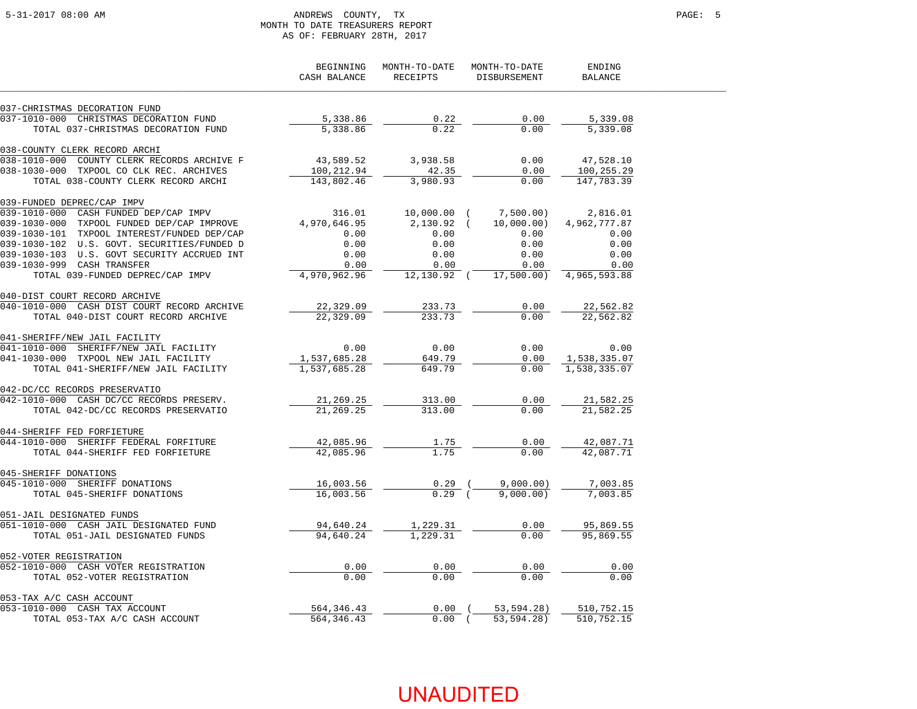### 5-31-2017 08:00 AM ANDREWS COUNTY, TX PAGE: 5 MONTH TO DATE TREASURERS REPORT AS OF: FEBRUARY 28TH, 2017

|                                                      | BEGINNING<br>CASH BALANCE | MONTH-TO-DATE<br>RECEIPTS | MONTH-TO-DATE<br>DISBURSEMENT | ENDING<br>BALANCE |
|------------------------------------------------------|---------------------------|---------------------------|-------------------------------|-------------------|
| 037-CHRISTMAS DECORATION FUND                        |                           |                           |                               |                   |
| 037-1010-000 CHRISTMAS DECORATION FUND               | 5,338.86                  | 0.22                      | 0.00                          | 5,339.08          |
| TOTAL 037-CHRISTMAS DECORATION FUND                  | 5,338.86                  | 0.22                      | 0.00                          | 5,339.08          |
| 038-COUNTY CLERK RECORD ARCHI                        |                           |                           |                               |                   |
| $038 - 1010 - 000$<br>COUNTY CLERK RECORDS ARCHIVE F | 43,589.52                 | 3,938.58                  | 0.00                          | 47,528.10         |
| 038-1030-000 TXPOOL CO CLK REC. ARCHIVES             | 100,212.94                | 42.35                     | 0.00                          | 100,255.29        |
| TOTAL 038-COUNTY CLERK RECORD ARCHI                  | 143,802.46                | 3,980.93                  | 0.00                          | 147,783.39        |
| 039-FUNDED DEPREC/CAP IMPV                           |                           |                           |                               |                   |
| 039-1010-000 CASH FUNDED DEP/CAP IMPV                | 316.01                    | $10,000.00$ (             | 7,500.00)                     | 2,816.01          |
| 039-1030-000 TXPOOL FUNDED DEP/CAP IMPROVE           | 4,970,646.95              | $2,130.92$ (              | 10,000.00)                    | 4,962,777.87      |
| 039-1030-101 TXPOOL INTEREST/FUNDED DEP/CAP          | 0.00                      | 0.00                      | 0.00                          | 0.00              |
| 039-1030-102 U.S. GOVT. SECURITIES/FUNDED D          | 0.00                      | 0.00                      | 0.00                          | 0.00              |
| 039-1030-103 U.S. GOVT SECURITY ACCRUED INT          | 0.00                      | 0.00                      | 0.00                          | 0.00              |
| 039-1030-999 CASH TRANSFER                           | 0.00                      | 0.00                      | 0.00                          | 0.00              |
| TOTAL 039-FUNDED DEPREC/CAP IMPV                     | 4,970,962.96              | $12,130.92$ (             | 17,500,00)                    | 4,965,593.88      |
| 040-DIST COURT RECORD ARCHIVE                        |                           |                           |                               |                   |
| 040-1010-000 CASH DIST COURT RECORD ARCHIVE          | 22,329.09                 | 233.73                    | 0.00                          | 22,562.82         |
| TOTAL 040-DIST COURT RECORD ARCHIVE                  | 22,329.09                 | 233.73                    | 0.00                          | 22,562.82         |
| 041-SHERIFF/NEW JAIL FACILITY                        |                           |                           |                               |                   |
| 041-1010-000<br>SHERIFF/NEW JAIL FACILITY            | 0.00                      | 0.00                      | 0.00                          | 0.00              |
| 041-1030-000 TXPOOL NEW JAIL FACILITY                | 1,537,685.28              | 649.79                    | 0.00                          | 1,538,335.07      |
| TOTAL 041-SHERIFF/NEW JAIL FACILITY                  | 1,537,685.28              | 649.79                    | 0.00                          | 1,538,335.07      |
| 042-DC/CC RECORDS PRESERVATIO                        |                           |                           |                               |                   |
| 042-1010-000 CASH DC/CC RECORDS PRESERV.             | 21,269.25                 | 313.00                    | 0.00                          | 21,582.25         |
| TOTAL 042-DC/CC RECORDS PRESERVATIO                  | 21, 269. 25               | 313.00                    | 0.00                          | 21,582.25         |
| 044-SHERIFF FED FORFIETURE                           |                           |                           |                               |                   |
| 044-1010-000 SHERIFF FEDERAL FORFITURE               | 42,085.96                 | 1.75                      | 0.00                          | 42,087.71         |
| TOTAL 044-SHERIFF FED FORFIETURE                     | 42,085.96                 | 1.75                      | 0.00                          | 42,087.71         |
| 045-SHERIFF DONATIONS                                |                           |                           |                               |                   |
| 045-1010-000 SHERIFF DONATIONS                       | 16,003.56                 | 0.29                      | 9,000.00)                     | 7,003.85          |
| TOTAL 045-SHERIFF DONATIONS                          | 16,003.56                 | $0.29$ (                  | 9,000.00)                     | 7,003.85          |
| 051-JAIL DESIGNATED FUNDS                            |                           |                           |                               |                   |
| 051-1010-000 CASH JAIL DESIGNATED FUND               | 94,640.24                 | 1,229.31                  | 0.00                          | 95,869.55         |
| TOTAL 051-JAIL DESIGNATED FUNDS                      | 94,640.24                 | 1,229.31                  | 0.00                          | 95,869.55         |
| 052-VOTER REGISTRATION                               |                           |                           |                               |                   |
| 052-1010-000 CASH VOTER REGISTRATION                 | 0.00                      | 0.00                      | 0.00                          | 0.00              |
| TOTAL 052-VOTER REGISTRATION                         | 0.00                      | 0.00                      | 0.00                          | 0.00              |
| 053-TAX A/C CASH ACCOUNT                             |                           |                           |                               |                   |
| 053-1010-000 CASH TAX ACCOUNT                        | 564, 346.43               | $0.00$ (                  | 53,594.28)                    | 510,752.15        |
| TOTAL 053-TAX A/C CASH ACCOUNT                       | 564,346.43                | $0.00$ (                  | 53,594.28)                    | 510,752.15        |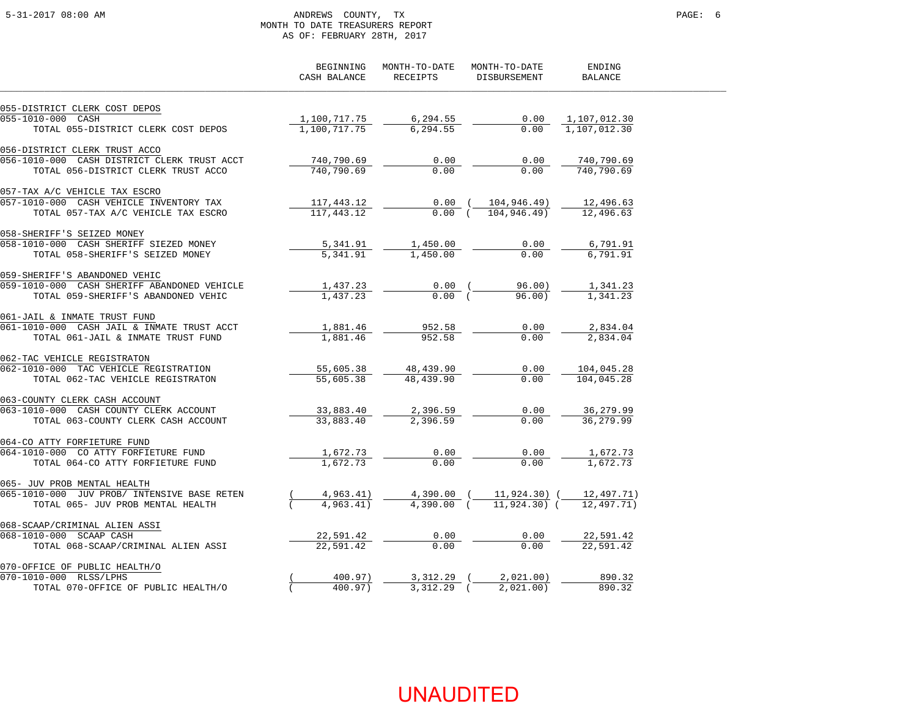### 5-31-2017 08:00 AM ANDREWS COUNTY, TX PAGE: 6 MONTH TO DATE TREASURERS REPORT AS OF: FEBRUARY 28TH, 2017

|                                             | BEGINNING<br>CASH BALANCE | MONTH-TO-DATE<br>RECEIPTS | MONTH-TO-DATE<br><b>DISBURSEMENT</b> | ENDING<br><b>BALANCE</b> |
|---------------------------------------------|---------------------------|---------------------------|--------------------------------------|--------------------------|
| 055-DISTRICT CLERK COST DEPOS               |                           |                           |                                      |                          |
| 055-1010-000 CASH                           | 1,100,717.75              | 6,294.55                  | 0.00                                 | 1,107,012.30             |
| TOTAL 055-DISTRICT CLERK COST DEPOS         | 1,100,717.75              | 6,294.55                  | 0.00                                 | 1,107,012.30             |
| 056-DISTRICT CLERK TRUST ACCO               |                           |                           |                                      |                          |
| 056-1010-000 CASH DISTRICT CLERK TRUST ACCT | 740,790.69                | 0.00                      | 0.00                                 | 740,790.69               |
| TOTAL 056-DISTRICT CLERK TRUST ACCO         | 740,790.69                | 0.00                      | 0.00                                 | 740,790.69               |
| 057-TAX A/C VEHICLE TAX ESCRO               |                           |                           |                                      |                          |
| 057-1010-000 CASH VEHICLE INVENTORY TAX     | 117,443.12                | 0.00(                     | 104,946.49)                          | 12,496.63                |
| TOTAL 057-TAX A/C VEHICLE TAX ESCRO         | 117, 443.12               | 0.00(                     | 104,946.49)                          | 12,496.63                |
| 058-SHERIFF'S SEIZED MONEY                  |                           |                           |                                      |                          |
| 058-1010-000 CASH SHERIFF SIEZED MONEY      | 5,341.91                  | 1,450.00                  | 0.00                                 | 6,791.91                 |
| TOTAL 058-SHERIFF'S SEIZED MONEY            | 5,341.91                  | 1,450.00                  | 0.00                                 | 6,791.91                 |
| 059-SHERIFF'S ABANDONED VEHIC               |                           |                           |                                      |                          |
| 059-1010-000 CASH SHERIFF ABANDONED VEHICLE | 1,437.23                  | $0.00$ (<br>0.00(         | 96.00)                               | 1,341.23                 |
| TOTAL 059-SHERIFF'S ABANDONED VEHIC         | 1,437.23                  |                           | 96.00                                | 1,341.23                 |
| 061-JAIL & INMATE TRUST FUND                |                           |                           |                                      |                          |
| 061-1010-000 CASH JAIL & INMATE TRUST ACCT  | 1,881.46                  | 952.58                    | 0.00                                 | 2,834.04                 |
| TOTAL 061-JAIL & INMATE TRUST FUND          | 1,881.46                  | 952.58                    | 0.00                                 | 2,834.04                 |
| 062-TAC VEHICLE REGISTRATON                 |                           |                           |                                      |                          |
| 062-1010-000 TAC VEHICLE REGISTRATION       | 55,605.38                 | 48,439.90                 | 0.00                                 | 104,045.28               |
| TOTAL 062-TAC VEHICLE REGISTRATON           | 55,605.38                 | 48,439.90                 | 0.00                                 | 104,045.28               |
| 063-COUNTY CLERK CASH ACCOUNT               |                           |                           |                                      |                          |
| 063-1010-000 CASH COUNTY CLERK ACCOUNT      | 33,883.40                 | 2,396.59                  | 0.00                                 | 36,279.99                |
| TOTAL 063-COUNTY CLERK CASH ACCOUNT         | 33,883.40                 | 2,396.59                  | 0.00                                 | 36, 279.99               |
| 064-CO ATTY FORFIETURE FUND                 |                           |                           |                                      |                          |
| 064-1010-000 CO ATTY FORFIETURE FUND        | 1,672.73<br>1,672.73      | 0.00                      | 0.00<br>0.00                         | 1,672.73<br>1,672.73     |
| TOTAL 064-CO ATTY FORFIETURE FUND           |                           | 0.00                      |                                      |                          |
| 065- JUV PROB MENTAL HEALTH                 |                           |                           |                                      |                          |
| 065-1010-000 JUV PROB/ INTENSIVE BASE RETEN | 4,963.41)                 | 4,390.00 (                | 11,924.30) (<br>$11,924.30$ (        | 12,497.71)<br>12,497.71) |
| TOTAL 065- JUV PROB MENTAL HEALTH           | 4,963.41)                 | $4,390.00$ (              |                                      |                          |
| 068-SCAAP/CRIMINAL ALIEN ASSI               |                           |                           |                                      |                          |
| 068-1010-000 SCAAP CASH                     | 22,591.42                 | 0.00                      | 0.00                                 | 22,591.42                |
| TOTAL 068-SCAAP/CRIMINAL ALIEN ASSI         | 22,591.42                 | 0.00                      | 0.00                                 | 22,591.42                |
| 070-OFFICE OF PUBLIC HEALTH/O               |                           |                           |                                      |                          |
| 070-1010-000 RLSS/LPHS                      | 400.97)                   | 3,312.29                  | 2,021.00)                            | 890.32                   |
| TOTAL 070-OFFICE OF PUBLIC HEALTH/O         | 400.97)                   | $3,312.29$ (              | 2,021.00)                            | 890.32                   |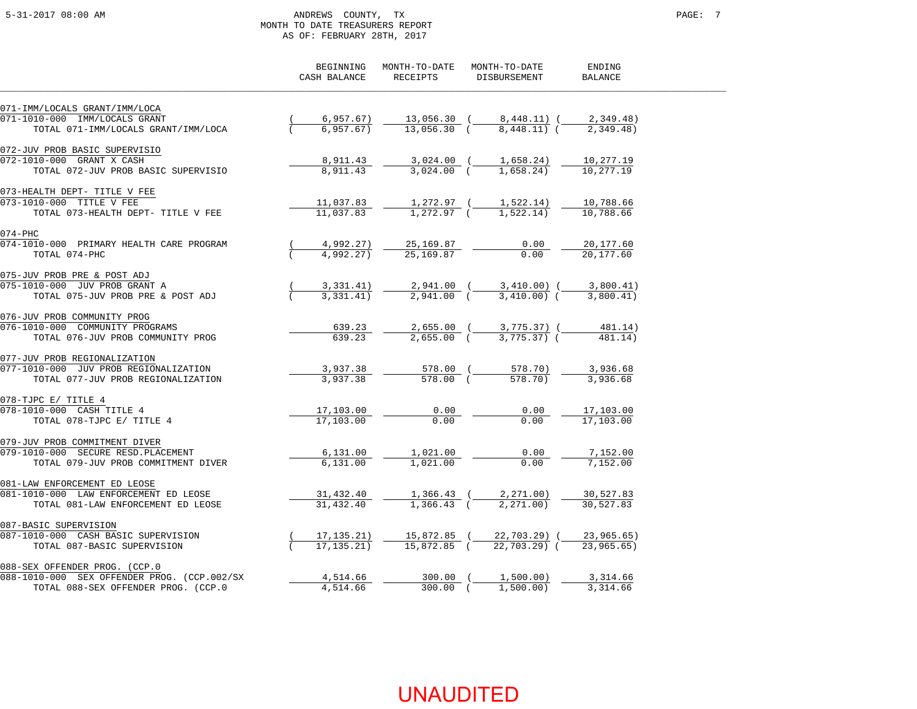### 5-31-2017 08:00 AM ANDREWS COUNTY, TX PAGE: 7 MONTH TO DATE TREASURERS REPORT AS OF: FEBRUARY 28TH, 2017

|                                             | BEGINNING<br>CASH BALANCE | MONTH-TO-DATE<br>RECEIPTS | MONTH-TO-DATE<br>DISBURSEMENT    | ENDING<br><b>BALANCE</b> |
|---------------------------------------------|---------------------------|---------------------------|----------------------------------|--------------------------|
| 071-IMM/LOCALS GRANT/IMM/LOCA               |                           |                           |                                  |                          |
| 071-1010-000 IMM/LOCALS GRANT               | 6,957.67)                 |                           | $13,056.30$ ( $8,448.11$ ) (     | 2,349.48)                |
| TOTAL 071-IMM/LOCALS GRANT/IMM/LOCA         | 6,957.67)                 | 13,056.30 (               | 8,448.11) (                      | 2,349.48)                |
| 072-JUV PROB BASIC SUPERVISIO               |                           |                           |                                  |                          |
| 072-1010-000 GRANT X CASH                   | 8,911.43                  | 3,024.00 (                | 1,658.24)                        | 10,277.19                |
| TOTAL 072-JUV PROB BASIC SUPERVISIO         | 8,911.43                  | $3,024.00$ (              | 1,658.24)                        | 10,277.19                |
| 073-HEALTH DEPT- TITLE V FEE                |                           |                           |                                  |                          |
| 073-1010-000 TITLE V FEE                    | 11,037.83                 |                           | 1,272.97 ( 1,522.14)             | 10,788.66                |
| TOTAL 073-HEALTH DEPT- TITLE V FEE          | 11,037.83                 |                           | $1,272.97$ ( $1,522.14$ )        | 10,788.66                |
| 074-PHC                                     |                           |                           |                                  |                          |
| 074-1010-000 PRIMARY HEALTH CARE PROGRAM    | 4,992.27)                 | 25,169.87                 | 0.00                             | 20,177.60                |
| TOTAL 074-PHC                               | 4,992.27)                 | 25,169.87                 | 0.00                             | 20,177.60                |
| 075-JUV PROB PRE & POST ADJ                 |                           |                           |                                  |                          |
| 075-1010-000 JUV PROB GRANT A               | 3,331.41)                 |                           | 2,941.00 ( 3,410.00) ( 3,800.41) |                          |
| TOTAL 075-JUV PROB PRE & POST ADJ           | 3,331.41)                 | 2,941.00 (                | 3,410.00) (                      | 3,800.41)                |
| 076-JUV PROB COMMUNITY PROG                 |                           |                           |                                  |                          |
| 076-1010-000 COMMUNITY PROGRAMS             | 639.23                    |                           | 2,655.00 ( 3,775.37) (           | 481.14)                  |
| TOTAL 076-JUV PROB COMMUNITY PROG           | 639.23                    | $2,655.00$ (              | $3,775.37$ (                     | 481.14)                  |
| 077-JUV PROB REGIONALIZATION                |                           |                           |                                  |                          |
| 077-1010-000 JUV PROB REGIONALIZATION       | 3,937.38                  |                           | 578.70)                          | 3,936.68                 |
| TOTAL 077-JUV PROB REGIONALIZATION          | 3,937.38                  | 578.00 (                  | 578.70)                          | 3,936.68                 |
| 078-TJPC E/ TITLE 4                         |                           |                           |                                  |                          |
| 078-1010-000 CASH TITLE 4                   | 17,103.00                 | 0.00                      | 0.00                             | 17,103.00                |
| TOTAL 078-TJPC E/ TITLE 4                   | 17,103.00                 | 0.00                      | 0.00                             | 17,103.00                |
| 079-JUV PROB COMMITMENT DIVER               |                           |                           |                                  |                          |
| 079-1010-000 SECURE RESD.PLACEMENT          | 6,131.00                  | 1,021.00                  | 0.00<br>0.00                     | 7,152.00<br>7,152.00     |
| TOTAL 079-JUV PROB COMMITMENT DIVER         | 6, 131.00                 | 1,021.00                  |                                  |                          |
| 081-LAW ENFORCEMENT ED LEOSE                |                           |                           |                                  |                          |
| 081-1010-000 LAW ENFORCEMENT ED LEOSE       | 31,432.40                 | $1,366.43$ (              | $1,366.43$ ( $2,271.00$ )        | 30,527.83<br>30,527.83   |
| TOTAL 081-LAW ENFORCEMENT ED LEOSE          | 31,432.40                 |                           | 2,271,00)                        |                          |
| 087-BASIC SUPERVISION                       |                           |                           |                                  |                          |
| 087-1010-000 CASH BASIC SUPERVISION         | 17,135.21)                | 15,872.85 (               | 22,703.29) (                     | 23,965.65)               |
| TOTAL 087-BASIC SUPERVISION                 | 17, 135, 21)              | 15,872.85 (               | $22.703.29$ (                    | 23,965,65)               |
| 088-SEX OFFENDER PROG. (CCP.0               |                           |                           |                                  |                          |
| 088-1010-000 SEX OFFENDER PROG. (CCP.002/SX | 4,514.66                  | $300.00$ (                | 1,500.00)                        | 3,314.66                 |
| TOTAL 088-SEX OFFENDER PROG. (CCP.0         | 4,514.66                  | $300.00$ $($              | 1,500.00)                        | 3,314.66                 |